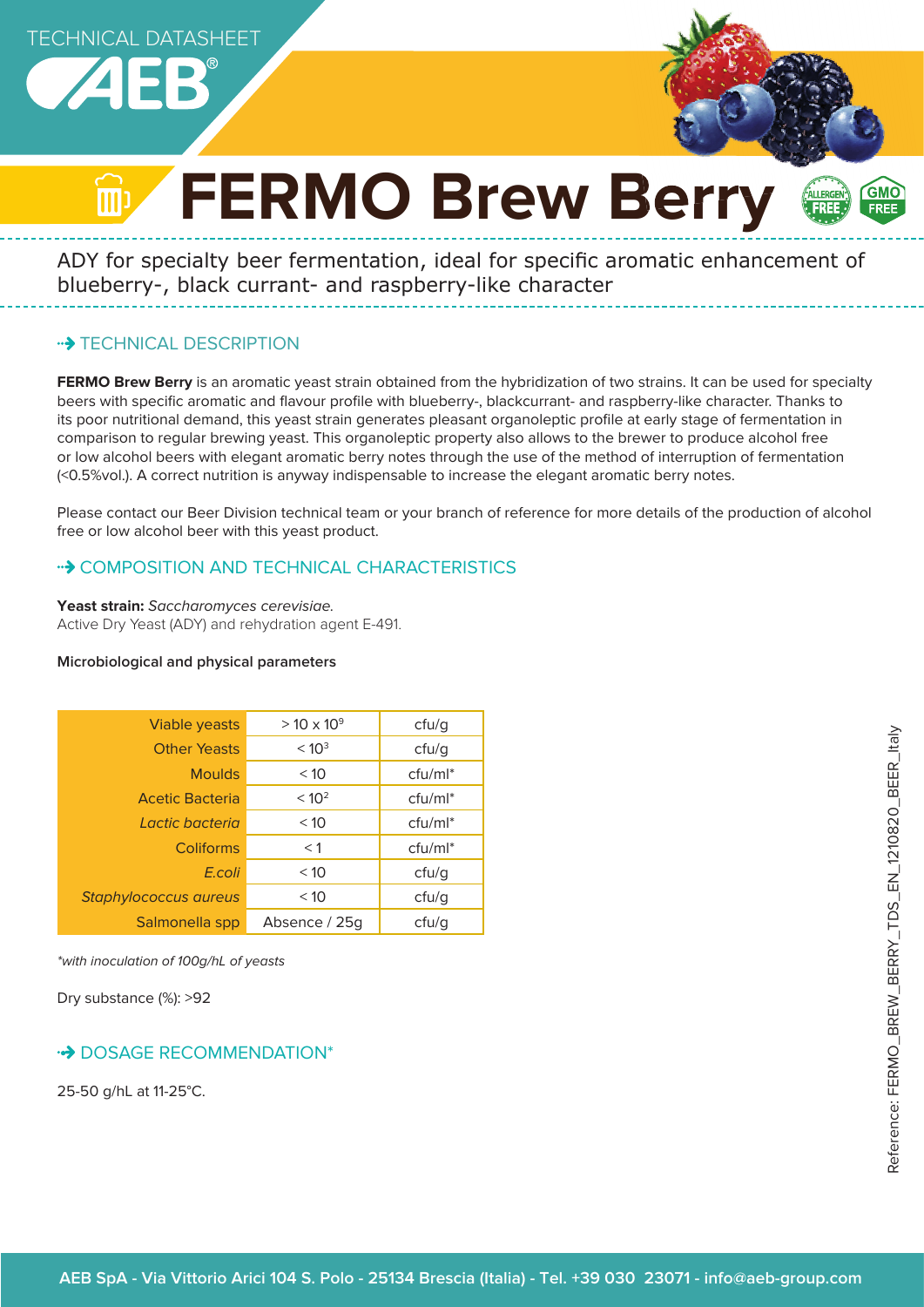



# **FERMO Brew Berry** ALLERGEN

ADY for specialty beer fermentation, ideal for specific aromatic enhancement of blueberry-, black currant- and raspberry-like character

# **\*\*> TECHNICAL DESCRIPTION**

**FERMO Brew Berry** is an aromatic yeast strain obtained from the hybridization of two strains. It can be used for specialty beers with specific aromatic and flavour profile with blueberry-, blackcurrant- and raspberry-like character. Thanks to its poor nutritional demand, this yeast strain generates pleasant organoleptic profile at early stage of fermentation in comparison to regular brewing yeast. This organoleptic property also allows to the brewer to produce alcohol free or low alcohol beers with elegant aromatic berry notes through the use of the method of interruption of fermentation (<0.5%vol.). A correct nutrition is anyway indispensable to increase the elegant aromatic berry notes.

Please contact our Beer Division technical team or your branch of reference for more details of the production of alcohol free or low alcohol beer with this yeast product.

# •• COMPOSITION AND TECHNICAL CHARACTERISTICS

**Yeast strain:** Saccharomyces cerevisiae. Active Dry Yeast (ADY) and rehydration agent E-491.

#### **Microbiological and physical parameters**

| Viable yeasts                | $> 10 \times 10^{9}$ | ctu/g      |
|------------------------------|----------------------|------------|
| <b>Other Yeasts</b>          | < 10 <sup>3</sup>    | ctu/g      |
| <b>Moulds</b>                | < 10                 | $ctu/ml^*$ |
| <b>Acetic Bacteria</b>       | < 10 <sup>2</sup>    | $ctu/ml^*$ |
| Lactic bacteria              | < 10                 | $ctu/ml^*$ |
| <b>Coliforms</b>             | < 1                  | $ctu/ml^*$ |
| E.coli                       | < 10                 | ctu/g      |
| <b>Staphylococcus aureus</b> | < 10                 | cfu/g      |
| Salmonella spp               | Absence / 25g        | ctu/g      |

\*with inoculation of 100g/hL of yeasts

Dry substance (%): >92

# **DOSAGE RECOMMENDATION\***

25-50 g/hL at 11-25°C.